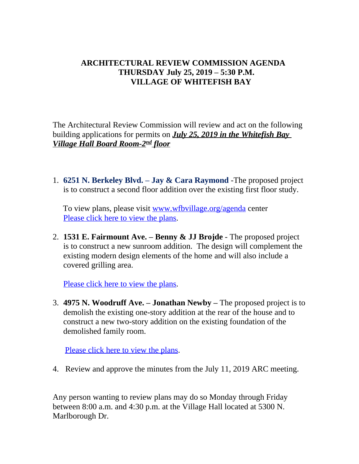## **ARCHITECTURAL REVIEW COMMISSION AGENDA THURSDAY July 25, 2019 – 5:30 P.M. VILLAGE OF WHITEFISH BAY**

The Architectural Review Commission will review and act on the following building applications for permits on *July 25, 2019 in the Whitefish Bay Village Hall Board Room-2nd floor*

1. **6251 N. Berkeley Blvd. – Jay & Cara Raymond** -The proposed project is to construct a second floor addition over the existing first floor study.

To view plans, please visit <u>[www.wfbvillage.org/agenda](http://www.wfbvillage.org/agenda)</u> center [Please click here to view the plans.](https://www.wfbvillage.org/DocumentCenter/View/897/6251-N-Berkeley)

2. **1531 E. Fairmount Ave. – Benny & JJ Brojde** - The proposed project is to construct a new sunroom addition. The design will complement the existing modern design elements of the home and will also include a covered grilling area.

[Please click here to view the plans.](https://www.wfbvillage.org/DocumentCenter/View/898/1531-E-Fairmount)

3. **4975 N. Woodruff Ave. – Jonathan Newby –** The proposed project is to demolish the existing one-story addition at the rear of the house and to construct a new two-story addition on the existing foundation of the demolished family room.

**[Please click here to view the plans.](https://www.wfbvillage.org/DocumentCenter/View/904/4975-N-WOODRUFF-v2)** 

4. Review and approve the minutes from the July 11, 2019 ARC meeting.

Any person wanting to review plans may do so Monday through Friday between 8:00 a.m. and 4:30 p.m. at the Village Hall located at 5300 N. Marlborough Dr.